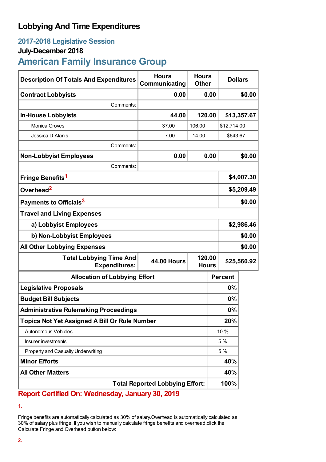## **Lobbying And Time Expenditures**

### **2017-2018 Legislative Session**

### **July-December 2018**

# **American Family Insurance Group**

| <b>Description Of Totals And Expenditures</b>          | <b>Hours</b><br>Communicating | <b>Hours</b><br><b>Other</b> |       | <b>Dollars</b> |        |
|--------------------------------------------------------|-------------------------------|------------------------------|-------|----------------|--------|
| <b>Contract Lobbyists</b>                              | 0.00                          |                              | 0.00  |                | \$0.00 |
| Comments:                                              |                               |                              |       |                |        |
| <b>In-House Lobbyists</b>                              | 44.00                         | 120.00                       |       | \$13,357.67    |        |
| Monica Groves                                          | 37.00                         | 106.00                       |       | \$12,714.00    |        |
| Jessica D Alanis                                       | 7.00                          | 14.00                        |       | \$643.67       |        |
| Comments:                                              |                               |                              |       |                |        |
| <b>Non-Lobbyist Employees</b>                          | 0.00                          | 0.00                         |       | \$0.00         |        |
| Comments:                                              |                               |                              |       |                |        |
| Fringe Benefits <sup>1</sup>                           |                               |                              |       | \$4,007.30     |        |
| Overhead <sup>2</sup>                                  |                               |                              |       | \$5,209.49     |        |
| Payments to Officials <sup>3</sup>                     |                               |                              |       | \$0.00         |        |
| <b>Travel and Living Expenses</b>                      |                               |                              |       |                |        |
| a) Lobbyist Employees                                  |                               |                              |       | \$2,986.46     |        |
| b) Non-Lobbyist Employees                              |                               |                              |       | \$0.00         |        |
| <b>All Other Lobbying Expenses</b>                     |                               |                              |       | \$0.00         |        |
| <b>Total Lobbying Time And</b><br><b>Expenditures:</b> | <b>44.00 Hours</b>            | 120.00<br><b>Hours</b>       |       | \$25,560.92    |        |
| <b>Allocation of Lobbying Effort</b>                   |                               |                              |       | <b>Percent</b> |        |
| <b>Legislative Proposals</b>                           |                               |                              | 0%    |                |        |
| <b>Budget Bill Subjects</b>                            |                               |                              | 0%    |                |        |
| <b>Administrative Rulemaking Proceedings</b>           |                               |                              | $0\%$ |                |        |
| <b>Topics Not Yet Assigned A Bill Or Rule Number</b>   |                               |                              | 20%   |                |        |
| Autonomous Vehicles                                    |                               |                              | 10 %  |                |        |
| Insurer investments                                    |                               |                              | 5 %   |                |        |
| Property and Casualty Underwriting                     |                               |                              | 5 %   |                |        |
| <b>Minor Efforts</b>                                   |                               |                              |       | 40%            |        |
| <b>All Other Matters</b>                               |                               |                              |       | 40%            |        |
| <b>Total Reported Lobbying Effort:</b>                 |                               |                              |       | 100%           |        |

**Report Certified On: Wednesday, January 30, 2019**

Fringe benefits are automatically calculated as 30% of salary.Overhead is automatically calculated as 30% of salary plus fringe. If you wish to manually calculate fringe benefits and overhead,click the Calculate Fringe and Overhead button below:

<sup>1.</sup>